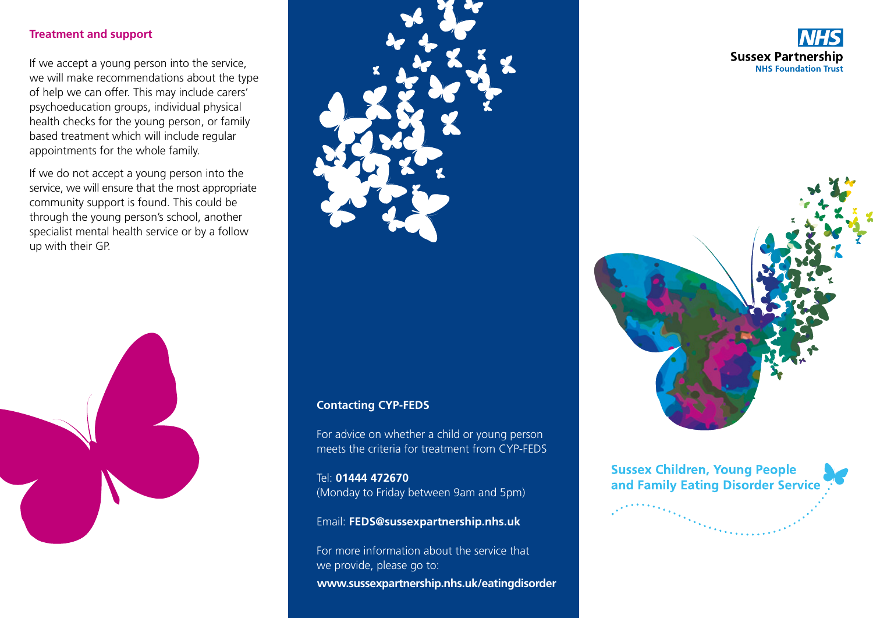#### **Treatment and support**

If we accept a young person into the service, we will make recommendations about the type of help we can offer. This may include carers' psychoeducation groups, individual physical health checks for the young person, or family based treatment which will include regular appointments for the whole family.

If we do not accept a young person into the service, we will ensure that the most appropriate community support is found. This could be through the young person's school, another specialist mental health service or by a follow up with their GP.





#### **Contacting CYP-FEDS**

For advice on whether a child or young person meets the criteria for treatment from CYP-FEDS

Tel: **01444 472670** (Monday to Friday between 9am and 5pm)

Email: **FEDS@sussexpartnership.nhs.uk**

**www.sussexpartnership.nhs.uk/eatingdisorder** For more information about the service that we provide, please go to:





**Sussex Children, Young People** and Family Eating Disorder Service